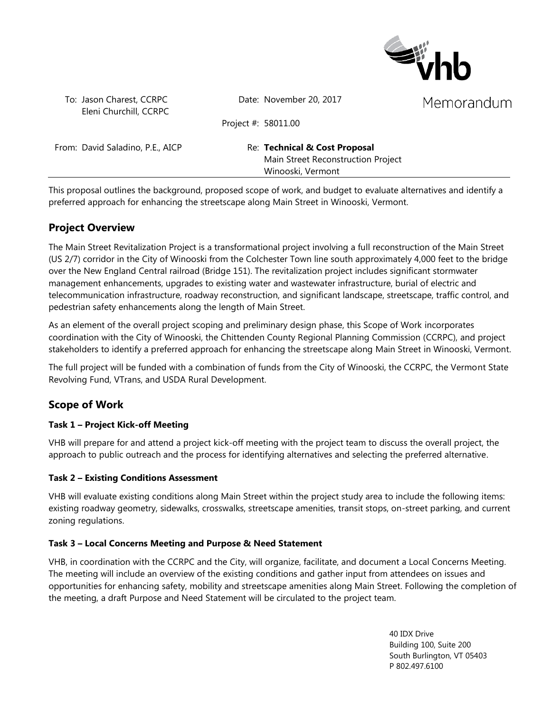

To: Jason Charest, CCRPC Eleni Churchill, CCRPC Date: November 20, 2017

Project #: 58011.00

From: David Saladino, P.E., AICP Re: **Technical & Cost Proposal** 

Main Street Reconstruction Project Winooski, Vermont

This proposal outlines the background, proposed scope of work, and budget to evaluate alternatives and identify a preferred approach for enhancing the streetscape along Main Street in Winooski, Vermont.

# **Project Overview**

The Main Street Revitalization Project is a transformational project involving a full reconstruction of the Main Street (US 2/7) corridor in the City of Winooski from the Colchester Town line south approximately 4,000 feet to the bridge over the New England Central railroad (Bridge 151). The revitalization project includes significant stormwater management enhancements, upgrades to existing water and wastewater infrastructure, burial of electric and telecommunication infrastructure, roadway reconstruction, and significant landscape, streetscape, traffic control, and pedestrian safety enhancements along the length of Main Street.

As an element of the overall project scoping and preliminary design phase, this Scope of Work incorporates coordination with the City of Winooski, the Chittenden County Regional Planning Commission (CCRPC), and project stakeholders to identify a preferred approach for enhancing the streetscape along Main Street in Winooski, Vermont.

The full project will be funded with a combination of funds from the City of Winooski, the CCRPC, the Vermont State Revolving Fund, VTrans, and USDA Rural Development.

# **Scope of Work**

## **Task 1 – Project Kick-off Meeting**

VHB will prepare for and attend a project kick-off meeting with the project team to discuss the overall project, the approach to public outreach and the process for identifying alternatives and selecting the preferred alternative.

#### **Task 2 – Existing Conditions Assessment**

VHB will evaluate existing conditions along Main Street within the project study area to include the following items: existing roadway geometry, sidewalks, crosswalks, streetscape amenities, transit stops, on-street parking, and current zoning regulations.

## **Task 3 – Local Concerns Meeting and Purpose & Need Statement**

VHB, in coordination with the CCRPC and the City, will organize, facilitate, and document a Local Concerns Meeting. The meeting will include an overview of the existing conditions and gather input from attendees on issues and opportunities for enhancing safety, mobility and streetscape amenities along Main Street. Following the completion of the meeting, a draft Purpose and Need Statement will be circulated to the project team.

> 40 IDX Drive Building 100, Suite 200 South Burlington, VT 05403 P 802.497.6100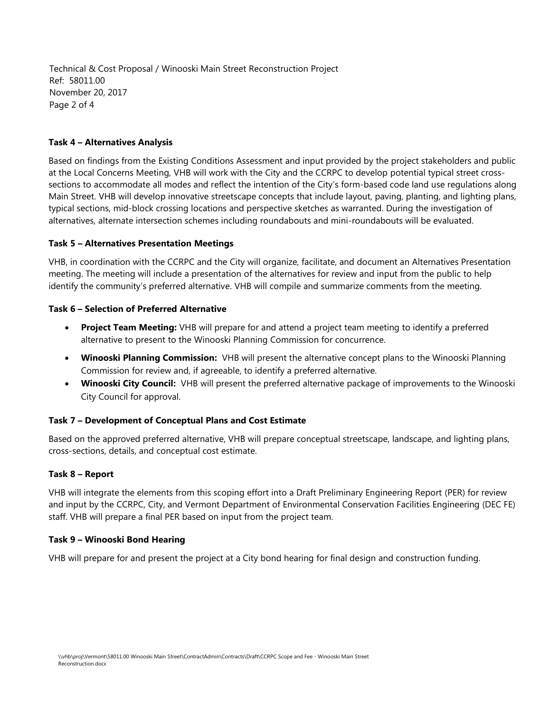Technical & Cost Proposal / Winooski Main Street Reconstruction Project Ref: 58011.00 November 20, 2017 Page 2 of 4

#### **Task 4 – Alternatives Analysis**

Based on findings from the Existing Conditions Assessment and input provided by the project stakeholders and public at the Local Concerns Meeting, VHB will work with the City and the CCRPC to develop potential typical street crosssections to accommodate all modes and reflect the intention of the City's form-based code land use regulations along Main Street. VHB will develop innovative streetscape concepts that include layout, paving, planting, and lighting plans, typical sections, mid-block crossing locations and perspective sketches as warranted. During the investigation of alternatives, alternate intersection schemes including roundabouts and mini-roundabouts will be evaluated.

#### **Task 5 – Alternatives Presentation Meetings**

VHB, in coordination with the CCRPC and the City will organize, facilitate, and document an Alternatives Presentation meeting. The meeting will include a presentation of the alternatives for review and input from the public to help identify the community's preferred alternative. VHB will compile and summarize comments from the meeting.

#### **Task 6 – Selection of Preferred Alternative**

- **Project Team Meeting:** VHB will prepare for and attend a project team meeting to identify a preferred alternative to present to the Winooski Planning Commission for concurrence.
- **Winooski Planning Commission:** VHB will present the alternative concept plans to the Winooski Planning Commission for review and, if agreeable, to identify a preferred alternative.
- **Winooski City Council:** VHB will present the preferred alternative package of improvements to the Winooski City Council for approval.

#### **Task 7 – Development of Conceptual Plans and Cost Estimate**

Based on the approved preferred alternative, VHB will prepare conceptual streetscape, landscape, and lighting plans, cross-sections, details, and conceptual cost estimate.

#### **Task 8 – Report**

VHB will integrate the elements from this scoping effort into a Draft Preliminary Engineering Report (PER) for review and input by the CCRPC, City, and Vermont Department of Environmental Conservation Facilities Engineering (DEC FE) staff. VHB will prepare a final PER based on input from the project team.

#### **Task 9 – Winooski Bond Hearing**

VHB will prepare for and present the project at a City bond hearing for final design and construction funding.